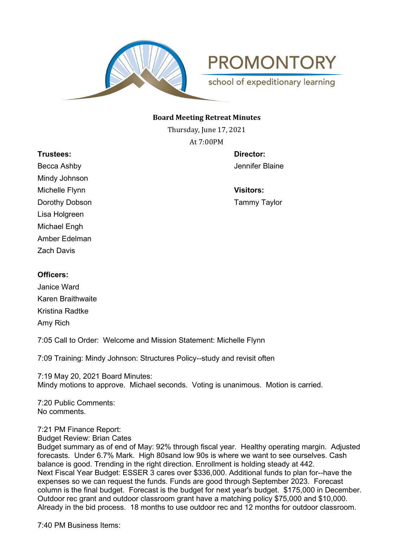

**PROMONTORY** 

school of expeditionary learning

#### **Board Meeting Retreat Minutes**

Thursday, June 17, 2021 At 7:00PM

**Trustees: Director:** Becca Ashby Jennifer Blaine Mindy Johnson Michelle Flynn **Visitors:** Dorothy Dobson **Tammy Taylor** Lisa Holgreen Michael Engh Amber Edelman Zach Davis

# **Officers:**

Janice Ward Karen Braithwaite Kristina Radtke Amy Rich

7:05 Call to Order: Welcome and Mission Statement: Michelle Flynn

7:09 Training: Mindy Johnson: Structures Policy--study and revisit often

7:19 May 20, 2021 Board Minutes: Mindy motions to approve. Michael seconds. Voting is unanimous. Motion is carried.

7:20 Public Comments: No comments.

# 7:21 PM Finance Report:

Budget Review: Brian Cates

Budget summary as of end of May: 92% through fiscal year. Healthy operating margin. Adjusted forecasts. Under 6.7% Mark. High 80sand low 90s is where we want to see ourselves. Cash balance is good. Trending in the right direction. Enrollment is holding steady at 442. Next Fiscal Year Budget: ESSER 3 cares over \$336,000. Additional funds to plan for--have the expenses so we can request the funds. Funds are good through September 2023. Forecast column is the final budget. Forecast is the budget for next year's budget. \$175,000 in December. Outdoor rec grant and outdoor classroom grant have a matching policy \$75,000 and \$10,000. Already in the bid process. 18 months to use outdoor rec and 12 months for outdoor classroom.

7:40 PM Business Items: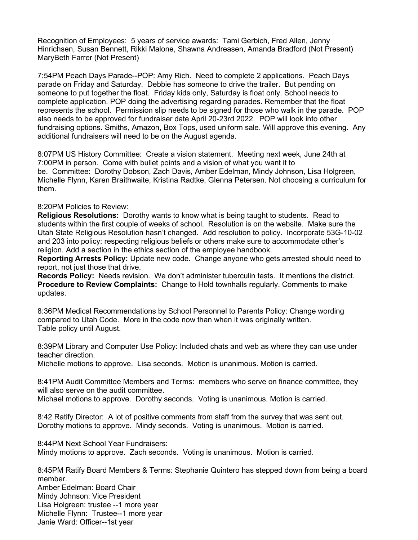Recognition of Employees: 5 years of service awards: Tami Gerbich, Fred Allen, Jenny Hinrichsen, Susan Bennett, Rikki Malone, Shawna Andreasen, Amanda Bradford (Not Present) MaryBeth Farrer (Not Present)

7:54PM Peach Days Parade--POP: Amy Rich. Need to complete 2 applications. Peach Days parade on Friday and Saturday. Debbie has someone to drive the trailer. But pending on someone to put together the float. Friday kids only, Saturday is float only. School needs to complete application. POP doing the advertising regarding parades. Remember that the float represents the school. Permission slip needs to be signed for those who walk in the parade. POP also needs to be approved for fundraiser date April 20-23rd 2022. POP will look into other fundraising options. Smiths, Amazon, Box Tops, used uniform sale. Will approve this evening. Any additional fundraisers will need to be on the August agenda.

8:07PM US History Committee: Create a vision statement. Meeting next week, June 24th at 7:00PM in person. Come with bullet points and a vision of what you want it to be. Committee: Dorothy Dobson, Zach Davis, Amber Edelman, Mindy Johnson, Lisa Holgreen, Michelle Flynn, Karen Braithwaite, Kristina Radtke, Glenna Petersen. Not choosing a curriculum for them.

### 8:20PM Policies to Review:

**Religious Resolutions:** Dorothy wants to know what is being taught to students. Read to students within the first couple of weeks of school. Resolution is on the website. Make sure the Utah State Religious Resolution hasn't changed. Add resolution to policy. Incorporate 53G-10-02 and 203 into policy: respecting religious beliefs or others make sure to accommodate other's religion. Add a section in the ethics section of the employee handbook.

**Reporting Arrests Policy:** Update new code. Change anyone who gets arrested should need to report, not just those that drive.

**Records Policy:** Needs revision. We don't administer tuberculin tests. It mentions the district. **Procedure to Review Complaints:** Change to Hold townhalls regularly. Comments to make updates.

8:36PM Medical Recommendations by School Personnel to Parents Policy: Change wording compared to Utah Code. More in the code now than when it was originally written. Table policy until August.

8:39PM Library and Computer Use Policy: Included chats and web as where they can use under teacher direction.

Michelle motions to approve. Lisa seconds. Motion is unanimous. Motion is carried.

8:41PM Audit Committee Members and Terms: members who serve on finance committee, they will also serve on the audit committee.

Michael motions to approve. Dorothy seconds. Voting is unanimous. Motion is carried.

8:42 Ratify Director: A lot of positive comments from staff from the survey that was sent out. Dorothy motions to approve. Mindy seconds. Voting is unanimous. Motion is carried.

8:44PM Next School Year Fundraisers:

Mindy motions to approve. Zach seconds. Voting is unanimous. Motion is carried.

8:45PM Ratify Board Members & Terms: Stephanie Quintero has stepped down from being a board member.

Amber Edelman: Board Chair Mindy Johnson: Vice President Lisa Holgreen: trustee --1 more year Michelle Flynn: Trustee--1 more year Janie Ward: Officer--1st year